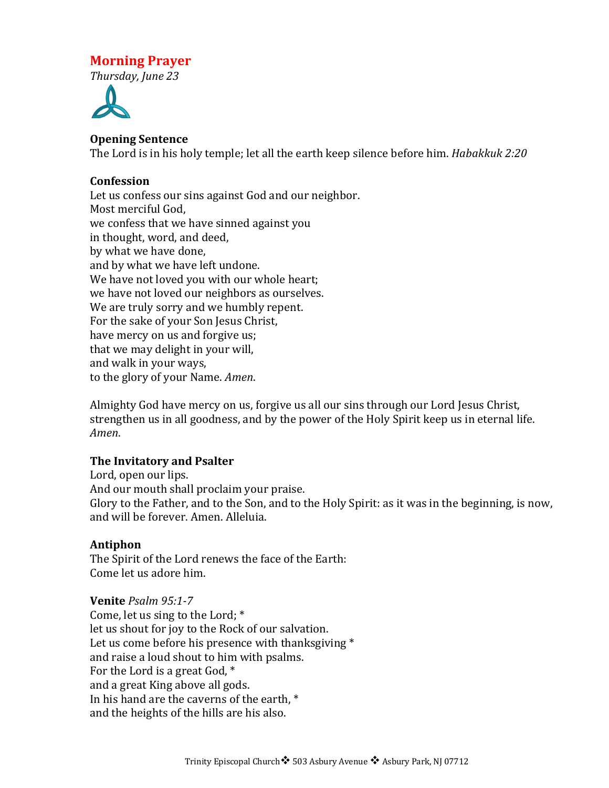# **Morning Prayer**

*Thursday, June 23*



### **Opening Sentence**

The Lord is in his holy temple; let all the earth keep silence before him. *Habakkuk 2:20* 

### **Confession**

Let us confess our sins against God and our neighbor. Most merciful God, we confess that we have sinned against you in thought, word, and deed, by what we have done, and by what we have left undone. We have not loved you with our whole heart; we have not loved our neighbors as ourselves. We are truly sorry and we humbly repent. For the sake of your Son Jesus Christ, have mercy on us and forgive us; that we may delight in your will, and walk in your ways, to the glory of your Name. *Amen*.

Almighty God have mercy on us, forgive us all our sins through our Lord Jesus Christ, strengthen us in all goodness, and by the power of the Holy Spirit keep us in eternal life. *Amen*.

#### **The Invitatory and Psalter**

Lord, open our lips. And our mouth shall proclaim your praise. Glory to the Father, and to the Son, and to the Holy Spirit: as it was in the beginning, is now, and will be forever. Amen. Alleluia.

#### **Antiphon**

The Spirit of the Lord renews the face of the Earth: Come let us adore him.

#### **Venite** *Psalm 95:1-7*

Come, let us sing to the Lord;  $*$ let us shout for joy to the Rock of our salvation. Let us come before his presence with thanksgiving  $*$ and raise a loud shout to him with psalms. For the Lord is a great God,  $*$ and a great King above all gods. In his hand are the caverns of the earth,  $*$ and the heights of the hills are his also.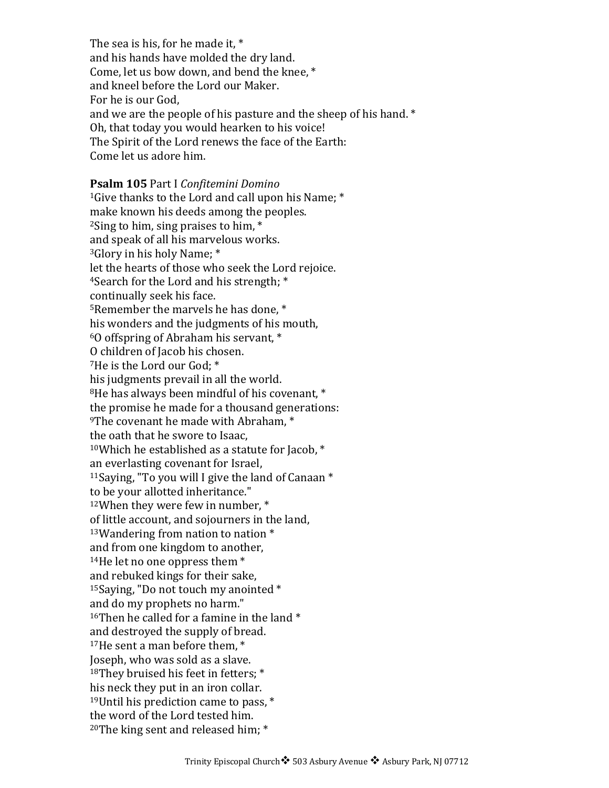The sea is his, for he made it,  $*$ and his hands have molded the dry land. Come, let us bow down, and bend the knee,  $*$ and kneel before the Lord our Maker. For he is our God. and we are the people of his pasture and the sheep of his hand.  $*$ Oh, that today you would hearken to his voice! The Spirit of the Lord renews the face of the Earth: Come let us adore him.

### **Psalm 105** Part I *Confitemini Domino* <sup>1</sup>Give thanks to the Lord and call upon his Name;  $*$ make known his deeds among the peoples.  $2$ Sing to him, sing praises to him,  $*$ and speak of all his marvelous works. <sup>3</sup>Glory in his holy Name; \* let the hearts of those who seek the Lord rejoice. <sup>4</sup>Search for the Lord and his strength;  $*$ continually seek his face. <sup>5</sup>Remember the marvels he has done,  $*$ his wonders and the judgments of his mouth,  $60$  offspring of Abraham his servant,  $*$ O children of Jacob his chosen.  $7$ He is the Lord our God:  $*$ his judgments prevail in all the world.  $8$ He has always been mindful of his covenant,  $*$ the promise he made for a thousand generations:  $9$ The covenant he made with Abraham,  $*$ the oath that he swore to Isaac.  $10$ Which he established as a statute for Jacob,  $*$ an everlasting covenant for Israel, <sup>11</sup>Saying, "To you will I give the land of Canaan  $*$ to be your allotted inheritance."  $12$ When they were few in number,  $*$ of little account, and sojourners in the land,  $13$ Wandering from nation to nation  $*$ and from one kingdom to another,  $14$ He let no one oppress them  $*$ and rebuked kings for their sake, <sup>15</sup>Saying, "Do not touch my anointed  $*$ and do my prophets no harm." <sup>16</sup>Then he called for a famine in the land  $*$ and destroyed the supply of bread.  $17$ He sent a man before them,  $*$ Joseph, who was sold as a slave.  $18$ They bruised his feet in fetters;  $*$ his neck they put in an iron collar. <sup>19</sup>Until his prediction came to pass,  $*$ the word of the Lord tested him.  $20$ The king sent and released him;  $*$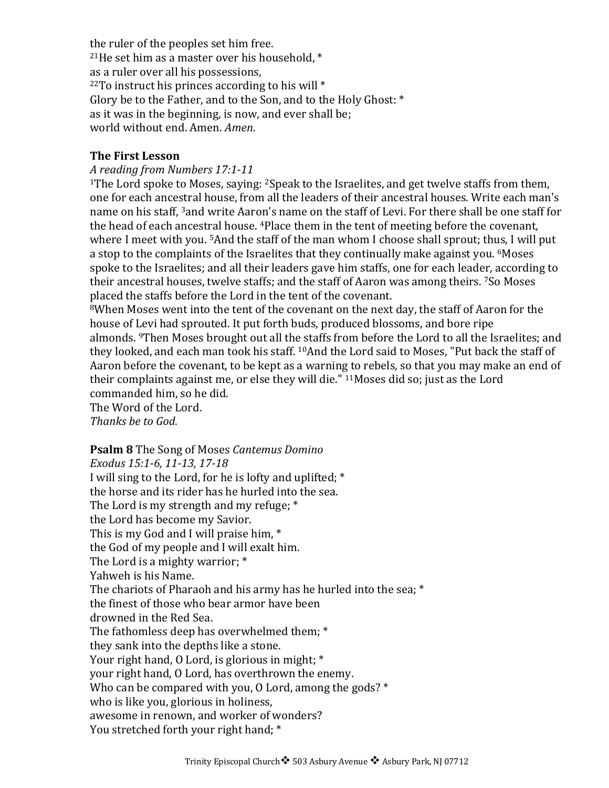the ruler of the peoples set him free. <sup>21</sup>He set him as a master over his household,  $*$ as a ruler over all his possessions,  $22T$ o instruct his princes according to his will  $*$ Glory be to the Father, and to the Son, and to the Holy Ghost:  $*$ as it was in the beginning, is now, and ever shall be; world without end. Amen. *Amen.* 

### **The First Lesson**

### *A reading from Numbers 17:1-11*

<sup>1</sup>The Lord spoke to Moses, saying: <sup>2</sup>Speak to the Israelites, and get twelve staffs from them, one for each ancestral house, from all the leaders of their ancestral houses. Write each man's name on his staff,  $3$ and write Aaron's name on the staff of Levi. For there shall be one staff for the head of each ancestral house.  $4P$  ace them in the tent of meeting before the covenant, where I meet with you.  $5$ And the staff of the man whom I choose shall sprout; thus, I will put a stop to the complaints of the Israelites that they continually make against you. <sup>6</sup>Moses spoke to the Israelites; and all their leaders gave him staffs, one for each leader, according to their ancestral houses, twelve staffs; and the staff of Aaron was among theirs. <sup>7</sup>So Moses placed the staffs before the Lord in the tent of the covenant.

<sup>8</sup>When Moses went into the tent of the covenant on the next day, the staff of Aaron for the house of Levi had sprouted. It put forth buds, produced blossoms, and bore ripe almonds. <sup>9</sup>Then Moses brought out all the staffs from before the Lord to all the Israelites; and they looked, and each man took his staff. <sup>10</sup>And the Lord said to Moses, "Put back the staff of Aaron before the covenant, to be kept as a warning to rebels, so that you may make an end of their complaints against me, or else they will die."  $11$ Moses did so; just as the Lord commanded him, so he did.

The Word of the Lord. *Thanks be to God*.

#### **Psalm 8** The Song of Moses *Cantemus Domino*

*Exodus 15:1-6, 11-13, 17-18* I will sing to the Lord, for he is lofty and uplifted;  $*$ the horse and its rider has he hurled into the sea. The Lord is my strength and my refuge;  $*$ the Lord has become my Savior. This is my God and I will praise him,  $*$ the God of my people and I will exalt him. The Lord is a mighty warrior;  $*$ Yahweh is his Name. The chariots of Pharaoh and his army has he hurled into the sea;  $*$ the finest of those who bear armor have been drowned in the Red Sea. The fathomless deep has overwhelmed them; \* they sank into the depths like a stone. Your right hand,  $0$  Lord, is glorious in might;  $*$ your right hand, O Lord, has overthrown the enemy. Who can be compared with you, O Lord, among the gods?  $*$ who is like you, glorious in holiness, awesome in renown, and worker of wonders? You stretched forth your right hand; \*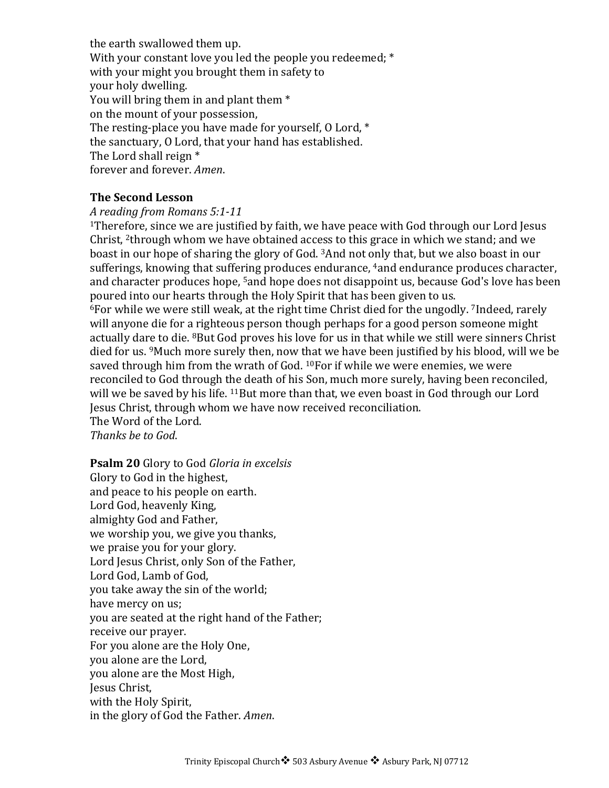the earth swallowed them up. With your constant love you led the people you redeemed;  $*$ with your might you brought them in safety to your holy dwelling. You will bring them in and plant them \* on the mount of your possession, The resting-place you have made for yourself,  $0$  Lord,  $*$ the sanctuary, O Lord, that your hand has established. The Lord shall reign  $*$ forever and forever. Amen.

#### **The Second Lesson**

#### *A reading from Romans 5:1-11*

 $1$ Therefore, since we are justified by faith, we have peace with God through our Lord Jesus Christ, <sup>2</sup>through whom we have obtained access to this grace in which we stand; and we boast in our hope of sharing the glory of God.  $3$ And not only that, but we also boast in our sufferings, knowing that suffering produces endurance, <sup>4</sup>and endurance produces character, and character produces hope, <sup>5</sup>and hope does not disappoint us, because God's love has been poured into our hearts through the Holy Spirit that has been given to us.

 $6$ For while we were still weak, at the right time Christ died for the ungodly. *7Indeed*, rarely will anyone die for a righteous person though perhaps for a good person someone might actually dare to die. <sup>8</sup>But God proves his love for us in that while we still were sinners Christ died for us. <sup>9</sup>Much more surely then, now that we have been justified by his blood, will we be saved through him from the wrath of God.  $10$ For if while we were enemies, we were reconciled to God through the death of his Son, much more surely, having been reconciled, will we be saved by his life.  $^{11}$ But more than that, we even boast in God through our Lord Jesus Christ, through whom we have now received reconciliation. The Word of the Lord.

*Thanks be to God*.

**Psalm 20** Glory to God *Gloria in excelsis* Glory to God in the highest, and peace to his people on earth. Lord God, heavenly King, almighty God and Father, we worship you, we give you thanks, we praise you for your glory. Lord Jesus Christ, only Son of the Father, Lord God, Lamb of God, you take away the sin of the world; have mercy on us; you are seated at the right hand of the Father; receive our prayer. For you alone are the Holy One, you alone are the Lord, you alone are the Most High, Jesus Christ, with the Holy Spirit, in the glory of God the Father. *Amen*.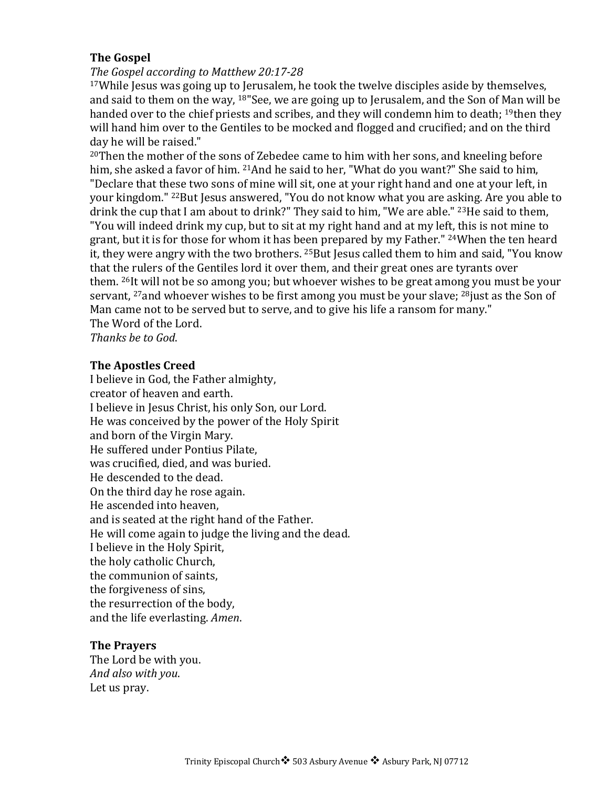### **The Gospel**

#### The Gospel according to Matthew 20:17-28

 $17$ While Jesus was going up to Jerusalem, he took the twelve disciples aside by themselves, and said to them on the way,  $18$ "See, we are going up to Jerusalem, and the Son of Man will be handed over to the chief priests and scribes, and they will condemn him to death; <sup>19</sup>then they will hand him over to the Gentiles to be mocked and flogged and crucified; and on the third day he will be raised."

 $20$ Then the mother of the sons of Zebedee came to him with her sons, and kneeling before him, she asked a favor of him. <sup>21</sup>And he said to her, "What do you want?" She said to him, "Declare that these two sons of mine will sit, one at your right hand and one at your left, in your kingdom." <sup>22</sup>But Jesus answered, "You do not know what you are asking. Are you able to drink the cup that I am about to drink?" They said to him, "We are able."  $^{23}$ He said to them, "You will indeed drink my cup, but to sit at my right hand and at my left, this is not mine to grant, but it is for those for whom it has been prepared by my Father." <sup>24</sup>When the ten heard it, they were angry with the two brothers.  $25$ But Jesus called them to him and said, "You know that the rulers of the Gentiles lord it over them, and their great ones are tyrants over them. <sup>26</sup>It will not be so among you; but whoever wishes to be great among you must be your servant,  $27$  and whoever wishes to be first among you must be your slave;  $28$  just as the Son of Man came not to be served but to serve, and to give his life a ransom for many." The Word of the Lord.

*Thanks be to God*.

#### **The Apostles Creed**

I believe in God, the Father almighty, creator of heaven and earth. I believe in Jesus Christ, his only Son, our Lord. He was conceived by the power of the Holy Spirit and born of the Virgin Mary. He suffered under Pontius Pilate. was crucified, died, and was buried. He descended to the dead. On the third day he rose again. He ascended into heaven, and is seated at the right hand of the Father. He will come again to judge the living and the dead. I believe in the Holy Spirit, the holy catholic Church, the communion of saints, the forgiveness of sins, the resurrection of the body, and the life everlasting. Amen.

#### **The Prayers**

The Lord be with you. *And also with you*. Let us pray.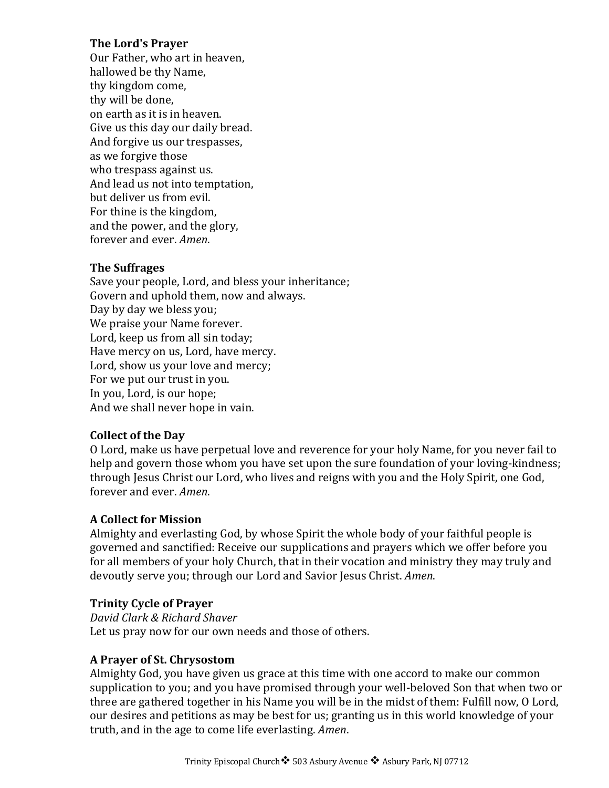### **The Lord's Prayer**

Our Father, who art in heaven, hallowed be thy Name, thy kingdom come, thy will be done. on earth as it is in heaven. Give us this day our daily bread. And forgive us our trespasses, as we forgive those who trespass against us. And lead us not into temptation, but deliver us from evil. For thine is the kingdom, and the power, and the glory, forever and ever. Amen.

### **The Suffrages**

Save your people, Lord, and bless your inheritance; Govern and uphold them, now and always. Day by day we bless you; We praise your Name forever. Lord, keep us from all sin today; Have mercy on us, Lord, have mercy. Lord, show us your love and mercy; For we put our trust in you. In you, Lord, is our hope; And we shall never hope in vain.

### **Collect of the Day**

O Lord, make us have perpetual love and reverence for your holy Name, for you never fail to help and govern those whom you have set upon the sure foundation of your loving-kindness; through Jesus Christ our Lord, who lives and reigns with you and the Holy Spirit, one God, forever and ever. *Amen*.

## **A Collect for Mission**

Almighty and everlasting God, by whose Spirit the whole body of your faithful people is governed and sanctified: Receive our supplications and prayers which we offer before you for all members of your holy Church, that in their vocation and ministry they may truly and devoutly serve you; through our Lord and Savior Jesus Christ. *Amen*.

### **Trinity Cycle of Prayer**

*David Clark & Richard Shaver* Let us pray now for our own needs and those of others.

### **A Prayer of St. Chrysostom**

Almighty God, you have given us grace at this time with one accord to make our common supplication to you; and you have promised through your well-beloved Son that when two or three are gathered together in his Name you will be in the midst of them: Fulfill now, O Lord, our desires and petitions as may be best for us; granting us in this world knowledge of your truth, and in the age to come life everlasting. *Amen*.